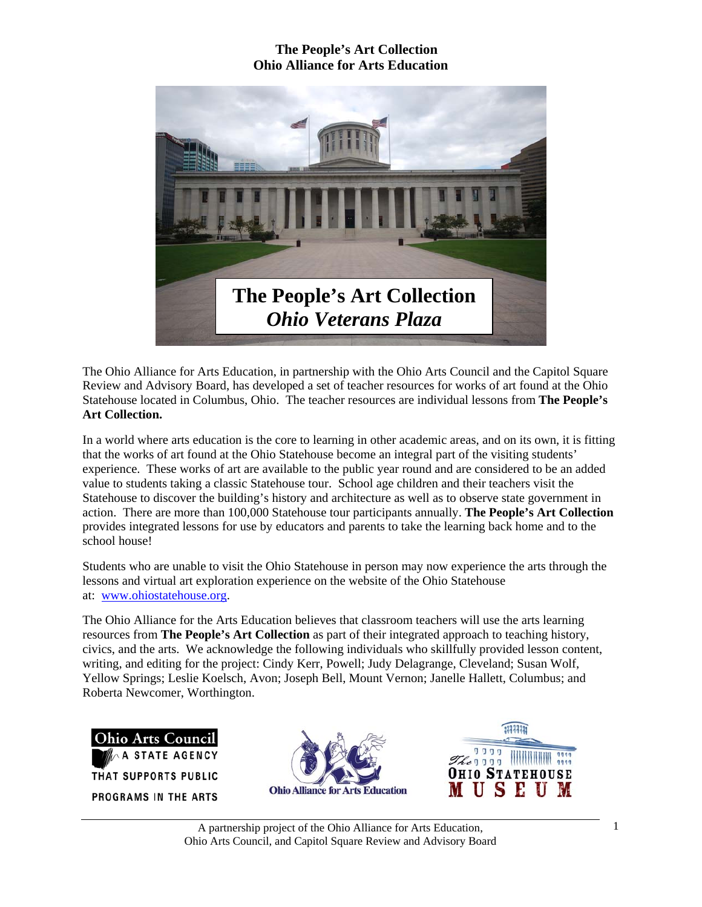

The Ohio Alliance for Arts Education, in partnership with the Ohio Arts Council and the Capitol Square Review and Advisory Board, has developed a set of teacher resources for works of art found at the Ohio Statehouse located in Columbus, Ohio. The teacher resources are individual lessons from **The People's Art Collection.** 

In a world where arts education is the core to learning in other academic areas, and on its own, it is fitting that the works of art found at the Ohio Statehouse become an integral part of the visiting students' experience. These works of art are available to the public year round and are considered to be an added value to students taking a classic Statehouse tour. School age children and their teachers visit the Statehouse to discover the building's history and architecture as well as to observe state government in action. There are more than 100,000 Statehouse tour participants annually. **The People's Art Collection** provides integrated lessons for use by educators and parents to take the learning back home and to the school house!

Students who are unable to visit the Ohio Statehouse in person may now experience the arts through the lessons and virtual art exploration experience on the website of the Ohio Statehouse at: www.ohiostatehouse.org.

The Ohio Alliance for the Arts Education believes that classroom teachers will use the arts learning resources from **The People's Art Collection** as part of their integrated approach to teaching history, civics, and the arts. We acknowledge the following individuals who skillfully provided lesson content, writing, and editing for the project: Cindy Kerr, Powell; Judy Delagrange, Cleveland; Susan Wolf, Yellow Springs; Leslie Koelsch, Avon; Joseph Bell, Mount Vernon; Janelle Hallett, Columbus; and Roberta Newcomer, Worthington.

**Ohio Arts Council STATE AGENCY** THAT SUPPORTS PUBLIC PROGRAMS IN THE ARTS



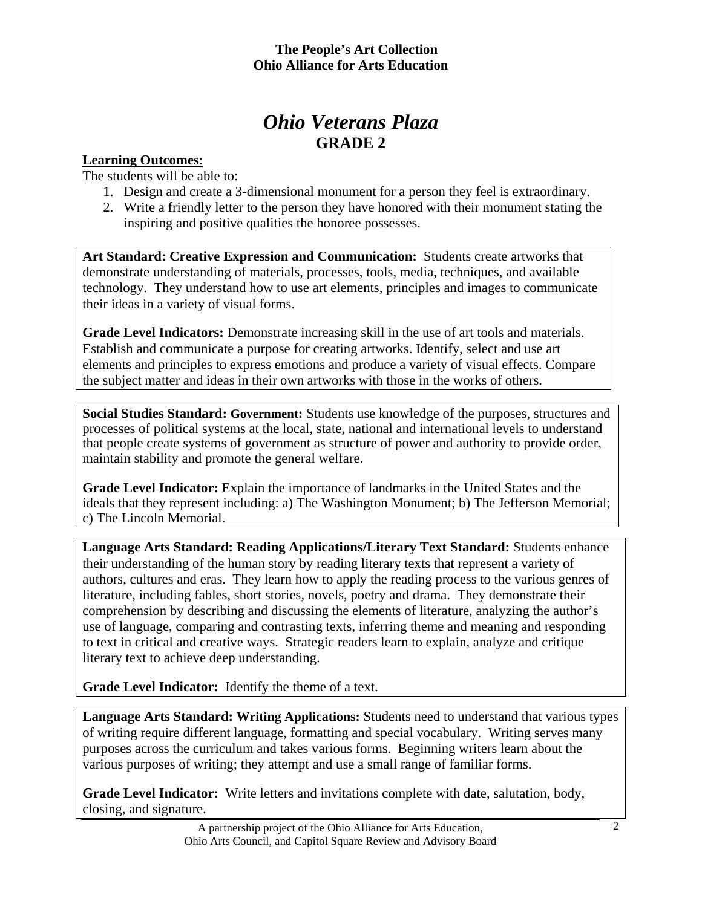# *Ohio Veterans Plaza*  **GRADE 2**

#### **Learning Outcomes**:

The students will be able to:

- 1. Design and create a 3-dimensional monument for a person they feel is extraordinary.
- 2. Write a friendly letter to the person they have honored with their monument stating the inspiring and positive qualities the honoree possesses.

**Art Standard: Creative Expression and Communication:** Students create artworks that demonstrate understanding of materials, processes, tools, media, techniques, and available technology. They understand how to use art elements, principles and images to communicate their ideas in a variety of visual forms.

Grade Level Indicators: Demonstrate increasing skill in the use of art tools and materials. Establish and communicate a purpose for creating artworks. Identify, select and use art elements and principles to express emotions and produce a variety of visual effects. Compare the subject matter and ideas in their own artworks with those in the works of others.

**Social Studies Standard: Government:** Students use knowledge of the purposes, structures and processes of political systems at the local, state, national and international levels to understand that people create systems of government as structure of power and authority to provide order, maintain stability and promote the general welfare.

**Grade Level Indicator:** Explain the importance of landmarks in the United States and the ideals that they represent including: a) The Washington Monument; b) The Jefferson Memorial; c) The Lincoln Memorial.

**Language Arts Standard: Reading Applications/Literary Text Standard:** Students enhance their understanding of the human story by reading literary texts that represent a variety of authors, cultures and eras. They learn how to apply the reading process to the various genres of literature, including fables, short stories, novels, poetry and drama. They demonstrate their comprehension by describing and discussing the elements of literature, analyzing the author's use of language, comparing and contrasting texts, inferring theme and meaning and responding to text in critical and creative ways. Strategic readers learn to explain, analyze and critique literary text to achieve deep understanding.

**Grade Level Indicator:** Identify the theme of a text.

**Language Arts Standard: Writing Applications:** Students need to understand that various types of writing require different language, formatting and special vocabulary. Writing serves many purposes across the curriculum and takes various forms. Beginning writers learn about the various purposes of writing; they attempt and use a small range of familiar forms.

**Grade Level Indicator:** Write letters and invitations complete with date, salutation, body, closing, and signature.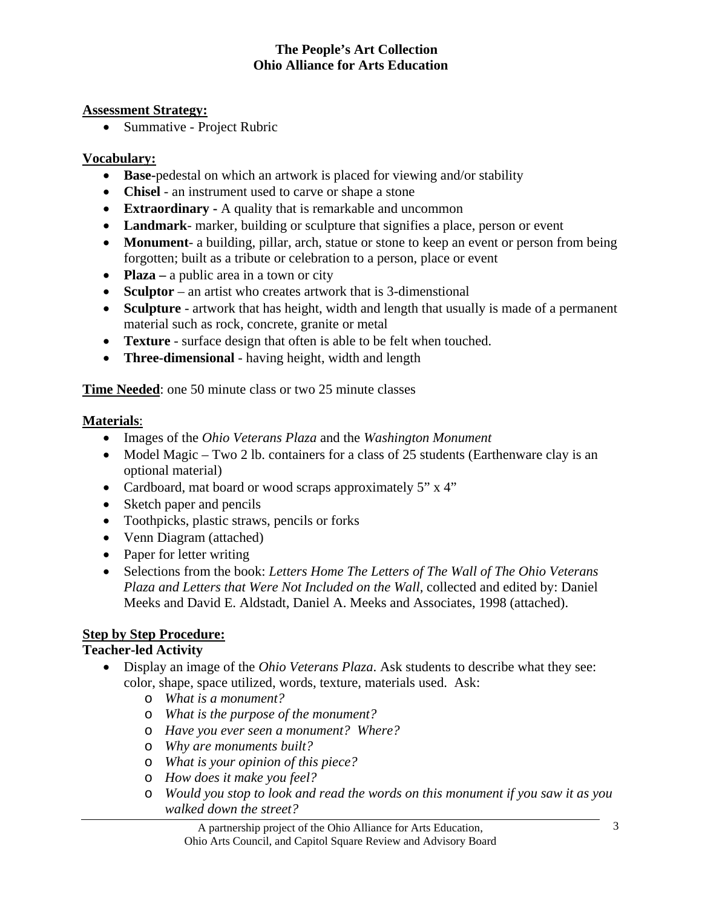#### **Assessment Strategy:**

• Summative - Project Rubric

### **Vocabulary:**

- **Base-**pedestal on which an artwork is placed for viewing and/or stability
- **Chisel** an instrument used to carve or shape a stone
- **Extraordinary -** A quality that is remarkable and uncommon
- **Landmark** marker, building or sculpture that signifies a place, person or event
- **Monument** a building, pillar, arch, statue or stone to keep an event or person from being forgotten; built as a tribute or celebration to a person, place or event
- **Plaza** a public area in a town or city
- **Sculptor** an artist who creates artwork that is 3-dimenstional
- **Sculpture** artwork that has height, width and length that usually is made of a permanent material such as rock, concrete, granite or metal
- **Texture** surface design that often is able to be felt when touched.
- **Three-dimensional**  having height, width and length

**Time Needed:** one 50 minute class or two 25 minute classes

## **Materials**:

- Images of the *Ohio Veterans Plaza* and the *Washington Monument*
- Model Magic Two 2 lb. containers for a class of 25 students (Earthenware clay is an optional material)
- Cardboard, mat board or wood scraps approximately 5" x 4"
- Sketch paper and pencils
- Toothpicks, plastic straws, pencils or forks
- Venn Diagram (attached)
- Paper for letter writing
- Selections from the book: *Letters Home The Letters of The Wall of The Ohio Veterans Plaza and Letters that Were Not Included on the Wall,* collected and edited by: Daniel Meeks and David E. Aldstadt, Daniel A. Meeks and Associates, 1998 (attached).

# **Step by Step Procedure:**

## **Teacher-led Activity**

- Display an image of the *Ohio Veterans Plaza*. Ask students to describe what they see: color, shape, space utilized, words, texture, materials used. Ask:
	- o *What is a monument?*
	- o *What is the purpose of the monument?*
	- o *Have you ever seen a monument? Where?*
	- o *Why are monuments built?*
	- o *What is your opinion of this piece?*
	- o *How does it make you feel?*
	- o *Would you stop to look and read the words on this monument if you saw it as you walked down the street?*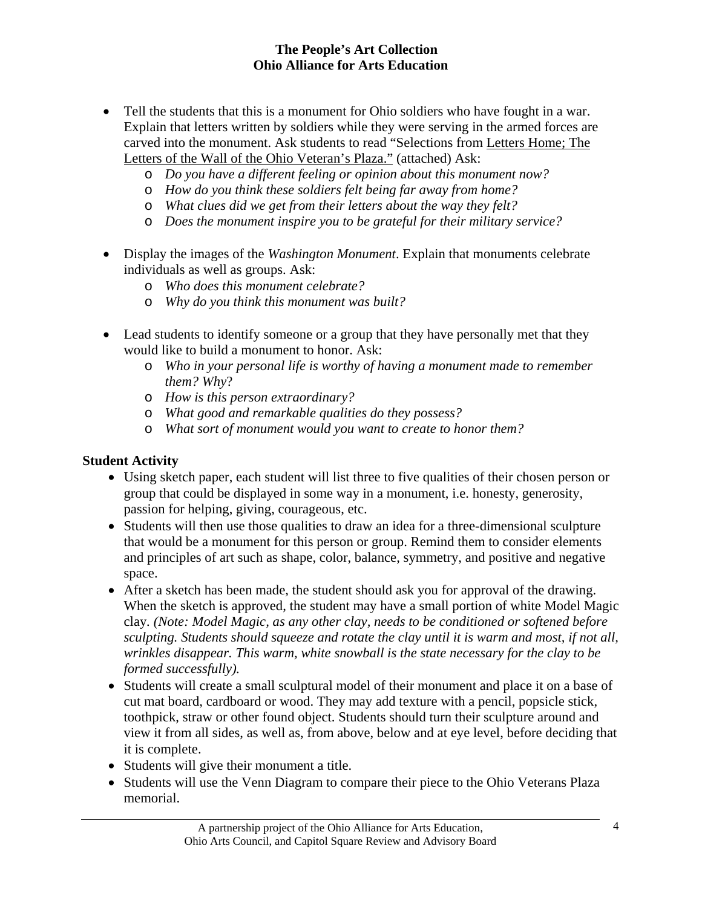- Tell the students that this is a monument for Ohio soldiers who have fought in a war. Explain that letters written by soldiers while they were serving in the armed forces are carved into the monument. Ask students to read "Selections from Letters Home; The Letters of the Wall of the Ohio Veteran's Plaza." (attached) Ask:
	- o *Do you have a different feeling or opinion about this monument now?*
	- o *How do you think these soldiers felt being far away from home?*
	- o *What clues did we get from their letters about the way they felt?*
	- o *Does the monument inspire you to be grateful for their military service?*
- Display the images of the *Washington Monument*. Explain that monuments celebrate individuals as well as groups. Ask:
	- o *Who does this monument celebrate?*
	- o *Why do you think this monument was built?*
- Lead students to identify someone or a group that they have personally met that they would like to build a monument to honor. Ask:
	- o *Who in your personal life is worthy of having a monument made to remember them? Why*?
	- o *How is this person extraordinary?*
	- o *What good and remarkable qualities do they possess?*
	- o *What sort of monument would you want to create to honor them?*

### **Student Activity**

- Using sketch paper, each student will list three to five qualities of their chosen person or group that could be displayed in some way in a monument, i.e. honesty, generosity, passion for helping, giving, courageous, etc.
- Students will then use those qualities to draw an idea for a three-dimensional sculpture that would be a monument for this person or group. Remind them to consider elements and principles of art such as shape, color, balance, symmetry, and positive and negative space.
- After a sketch has been made, the student should ask you for approval of the drawing. When the sketch is approved, the student may have a small portion of white Model Magic clay*. (Note: Model Magic, as any other clay, needs to be conditioned or softened before sculpting. Students should squeeze and rotate the clay until it is warm and most, if not all, wrinkles disappear. This warm, white snowball is the state necessary for the clay to be formed successfully).*
- Students will create a small sculptural model of their monument and place it on a base of cut mat board, cardboard or wood. They may add texture with a pencil, popsicle stick, toothpick, straw or other found object. Students should turn their sculpture around and view it from all sides, as well as, from above, below and at eye level, before deciding that it is complete.
- Students will give their monument a title.
- Students will use the Venn Diagram to compare their piece to the Ohio Veterans Plaza memorial.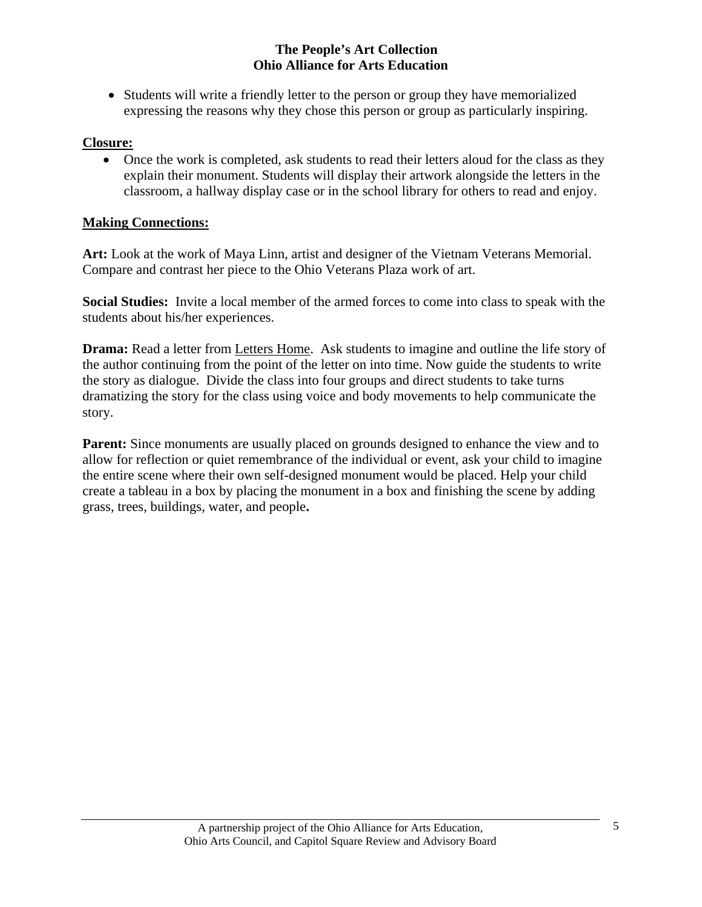• Students will write a friendly letter to the person or group they have memorialized expressing the reasons why they chose this person or group as particularly inspiring.

#### **Closure:**

• Once the work is completed, ask students to read their letters aloud for the class as they explain their monument. Students will display their artwork alongside the letters in the classroom, a hallway display case or in the school library for others to read and enjoy.

### **Making Connections:**

**Art:** Look at the work of Maya Linn, artist and designer of the Vietnam Veterans Memorial. Compare and contrast her piece to the Ohio Veterans Plaza work of art.

**Social Studies:** Invite a local member of the armed forces to come into class to speak with the students about his/her experiences.

**Drama:** Read a letter from Letters Home. Ask students to imagine and outline the life story of the author continuing from the point of the letter on into time. Now guide the students to write the story as dialogue. Divide the class into four groups and direct students to take turns dramatizing the story for the class using voice and body movements to help communicate the story.

**Parent:** Since monuments are usually placed on grounds designed to enhance the view and to allow for reflection or quiet remembrance of the individual or event, ask your child to imagine the entire scene where their own self-designed monument would be placed. Help your child create a tableau in a box by placing the monument in a box and finishing the scene by adding grass, trees, buildings, water, and people**.**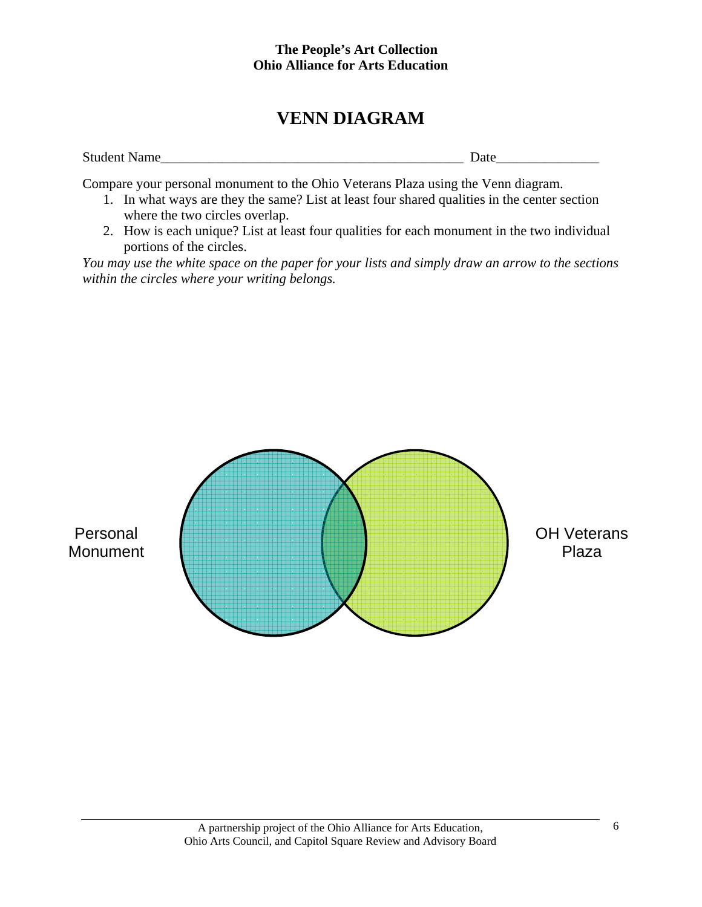# **VENN DIAGRAM**

| <b>Student Name</b> | ы<br>$\cdots$<br>- |
|---------------------|--------------------|
|                     |                    |

Compare your personal monument to the Ohio Veterans Plaza using the Venn diagram.

- 1. In what ways are they the same? List at least four shared qualities in the center section where the two circles overlap.
- 2. How is each unique? List at least four qualities for each monument in the two individual portions of the circles.

*You may use the white space on the paper for your lists and simply draw an arrow to the sections within the circles where your writing belongs.* 

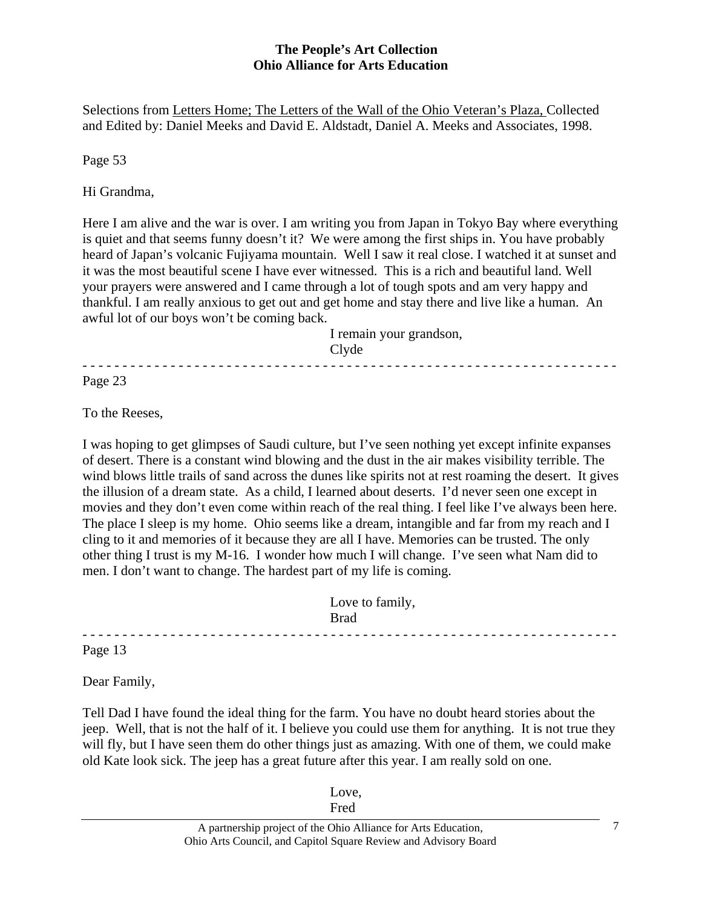Selections from Letters Home; The Letters of the Wall of the Ohio Veteran's Plaza, Collected and Edited by: Daniel Meeks and David E. Aldstadt, Daniel A. Meeks and Associates, 1998.

Page 53

Hi Grandma,

Here I am alive and the war is over. I am writing you from Japan in Tokyo Bay where everything is quiet and that seems funny doesn't it? We were among the first ships in. You have probably heard of Japan's volcanic Fujiyama mountain. Well I saw it real close. I watched it at sunset and it was the most beautiful scene I have ever witnessed. This is a rich and beautiful land. Well your prayers were answered and I came through a lot of tough spots and am very happy and thankful. I am really anxious to get out and get home and stay there and live like a human. An awful lot of our boys won't be coming back.

- - - - - - - - - - - - - - - - - - - - - - - - - - - - - - - - - - - - - - - - - - - - - - - - - - - - - - - - - - - - - - - - - - -

 I remain your grandson, Clyde

Page 23

To the Reeses,

I was hoping to get glimpses of Saudi culture, but I've seen nothing yet except infinite expanses of desert. There is a constant wind blowing and the dust in the air makes visibility terrible. The wind blows little trails of sand across the dunes like spirits not at rest roaming the desert. It gives the illusion of a dream state. As a child, I learned about deserts. I'd never seen one except in movies and they don't even come within reach of the real thing. I feel like I've always been here. The place I sleep is my home. Ohio seems like a dream, intangible and far from my reach and I cling to it and memories of it because they are all I have. Memories can be trusted. The only other thing I trust is my M-16. I wonder how much I will change. I've seen what Nam did to men. I don't want to change. The hardest part of my life is coming.

 Love to family, **Brad** 

Page 13

Dear Family,

Tell Dad I have found the ideal thing for the farm. You have no doubt heard stories about the jeep. Well, that is not the half of it. I believe you could use them for anything. It is not true they will fly, but I have seen them do other things just as amazing. With one of them, we could make old Kate look sick. The jeep has a great future after this year. I am really sold on one.

- - - - - - - - - - - - - - - - - - - - - - - - - - - - - - - - - - - - - - - - - - - - - - - - - - - - - - - - - - - - - - - - - - -

 Love, **Fred**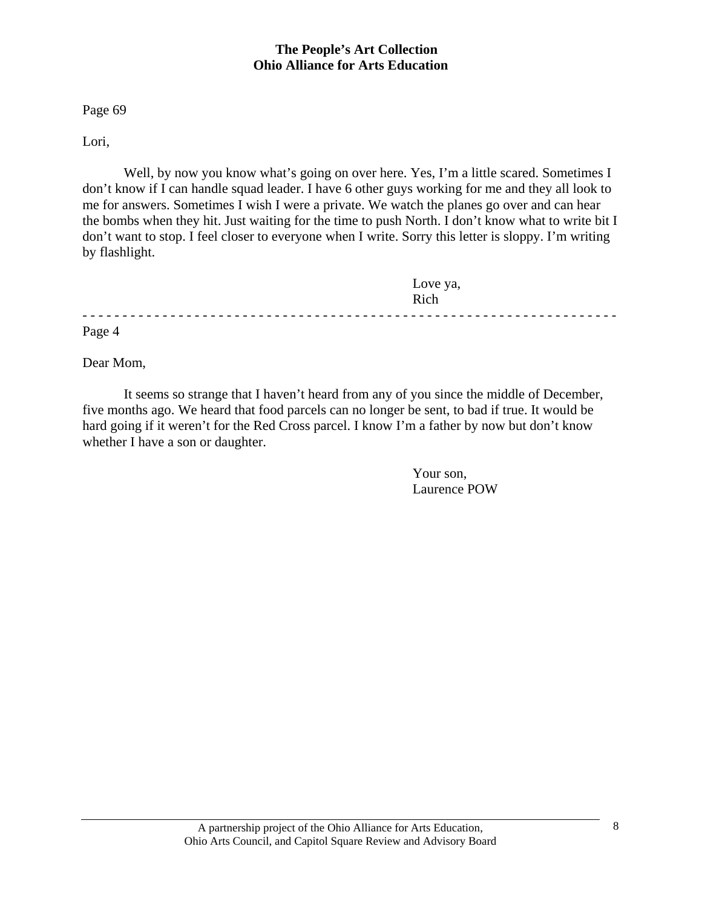Page 69

Lori,

 Well, by now you know what's going on over here. Yes, I'm a little scared. Sometimes I don't know if I can handle squad leader. I have 6 other guys working for me and they all look to me for answers. Sometimes I wish I were a private. We watch the planes go over and can hear the bombs when they hit. Just waiting for the time to push North. I don't know what to write bit I don't want to stop. I feel closer to everyone when I write. Sorry this letter is sloppy. I'm writing by flashlight.

|        | Love ya,<br>Rich |
|--------|------------------|
| Page 4 |                  |

Dear Mom,

 It seems so strange that I haven't heard from any of you since the middle of December, five months ago. We heard that food parcels can no longer be sent, to bad if true. It would be hard going if it weren't for the Red Cross parcel. I know I'm a father by now but don't know whether I have a son or daughter.

> Your son, Laurence POW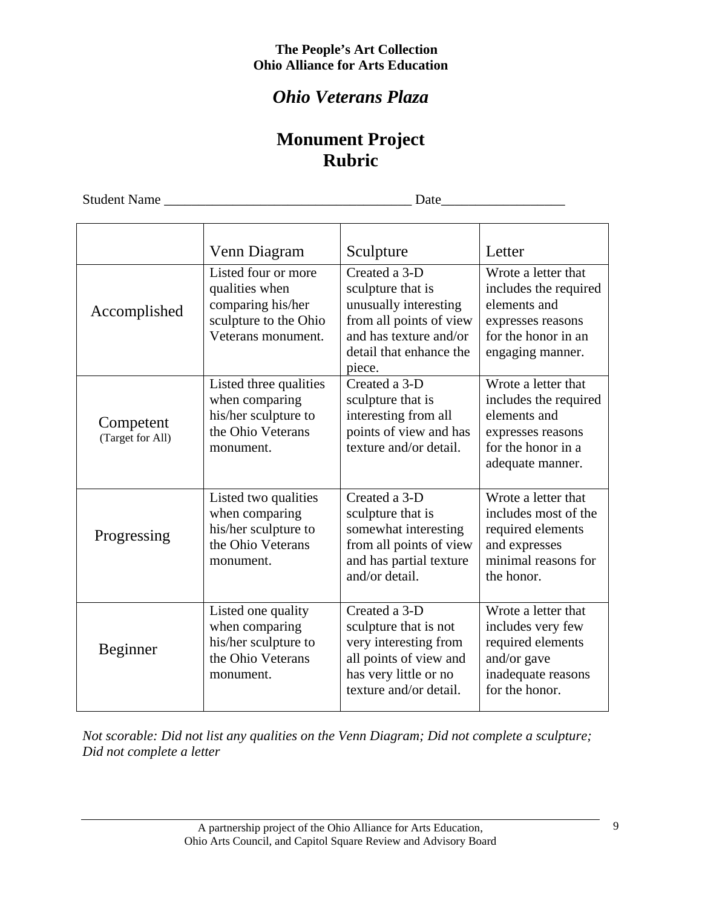# *Ohio Veterans Plaza*

# **Monument Project Rubric**

Student Name \_\_\_\_\_\_\_\_\_\_\_\_\_\_\_\_\_\_\_\_\_\_\_\_\_\_\_\_\_\_\_\_\_\_\_\_ Date\_\_\_\_\_\_\_\_\_\_\_\_\_\_\_\_\_\_

|                               | Venn Diagram                                                                                              | Sculpture                                                                                                                                             | Letter                                                                                                                       |
|-------------------------------|-----------------------------------------------------------------------------------------------------------|-------------------------------------------------------------------------------------------------------------------------------------------------------|------------------------------------------------------------------------------------------------------------------------------|
| Accomplished                  | Listed four or more<br>qualities when<br>comparing his/her<br>sculpture to the Ohio<br>Veterans monument. | Created a 3-D<br>sculpture that is<br>unusually interesting<br>from all points of view<br>and has texture and/or<br>detail that enhance the<br>piece. | Wrote a letter that<br>includes the required<br>elements and<br>expresses reasons<br>for the honor in an<br>engaging manner. |
| Competent<br>(Target for All) | Listed three qualities<br>when comparing<br>his/her sculpture to<br>the Ohio Veterans<br>monument.        | Created a 3-D<br>sculpture that is<br>interesting from all<br>points of view and has<br>texture and/or detail.                                        | Wrote a letter that<br>includes the required<br>elements and<br>expresses reasons<br>for the honor in a<br>adequate manner.  |
| Progressing                   | Listed two qualities<br>when comparing<br>his/her sculpture to<br>the Ohio Veterans<br>monument.          | Created a 3-D<br>sculpture that is<br>somewhat interesting<br>from all points of view<br>and has partial texture<br>and/or detail.                    | Wrote a letter that<br>includes most of the<br>required elements<br>and expresses<br>minimal reasons for<br>the honor.       |
| Beginner                      | Listed one quality<br>when comparing<br>his/her sculpture to<br>the Ohio Veterans<br>monument.            | Created a 3-D<br>sculpture that is not<br>very interesting from<br>all points of view and<br>has very little or no<br>texture and/or detail.          | Wrote a letter that<br>includes very few<br>required elements<br>and/or gave<br>inadequate reasons<br>for the honor.         |

*Not scorable: Did not list any qualities on the Venn Diagram; Did not complete a sculpture; Did not complete a letter*